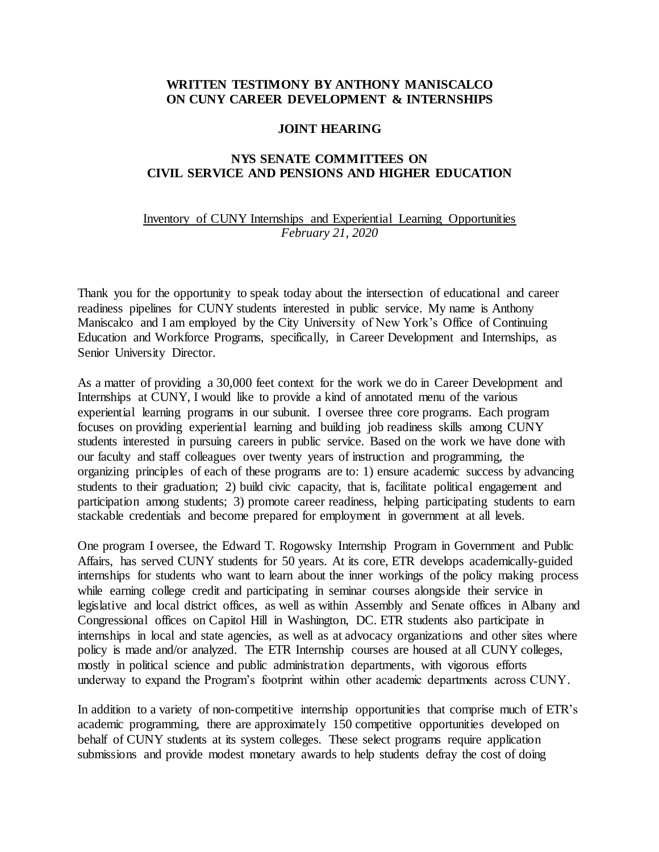## **WRITTEN TESTIMONY BY ANTHONY MANISCALCO ON CUNY CAREER DEVELOPMENT & INTERNSHIPS**

## **JOINT HEARING**

## **NYS SENATE COMMITTEES ON CIVIL SERVICE AND PENSIONS AND HIGHER EDUCATION**

## Inventory of CUNY Internships and Experiential Learning Opportunities *February 21, 2020*

Thank you for the opportunity to speak today about the intersection of educational and career readiness pipelines for CUNY students interested in public service. My name is Anthony Maniscalco and I am employed by the City University of New York's Office of Continuing Education and Workforce Programs, specifically, in Career Development and Internships, as Senior University Director.

As a matter of providing a 30,000 feet context for the work we do in Career Development and Internships at CUNY, I would like to provide a kind of annotated menu of the various experiential learning programs in our subunit. I oversee three core programs. Each program focuses on providing experiential learning and building job readiness skills among CUNY students interested in pursuing careers in public service. Based on the work we have done with our faculty and staff colleagues over twenty years of instruction and programming, the organizing principles of each of these programs are to: 1) ensure academic success by advancing students to their graduation; 2) build civic capacity, that is, facilitate political engagement and participation among students; 3) promote career readiness, helping participating students to earn stackable credentials and become prepared for employment in government at all levels.

One program I oversee, the Edward T. Rogowsky Internship Program in Government and Public Affairs, has served CUNY students for 50 years. At its core, ETR develops academically-guided internships for students who want to learn about the inner workings of the policy making process while earning college credit and participating in seminar courses alongside their service in legislative and local district offices, as well as within Assembly and Senate offices in Albany and Congressional offices on Capitol Hill in Washington, DC. ETR students also participate in internships in local and state agencies, as well as at advocacy organizations and other sites where policy is made and/or analyzed. The ETR Internship courses are housed at all CUNY colleges, mostly in political science and public administration departments, with vigorous efforts underway to expand the Program's footprint within other academic departments across CUNY.

In addition to a variety of non-competitive internship opportunities that comprise much of ETR's academic programming, there are approximately 150 competitive opportunities developed on behalf of CUNY students at its system colleges. These select programs require application submissions and provide modest monetary awards to help students defray the cost of doing